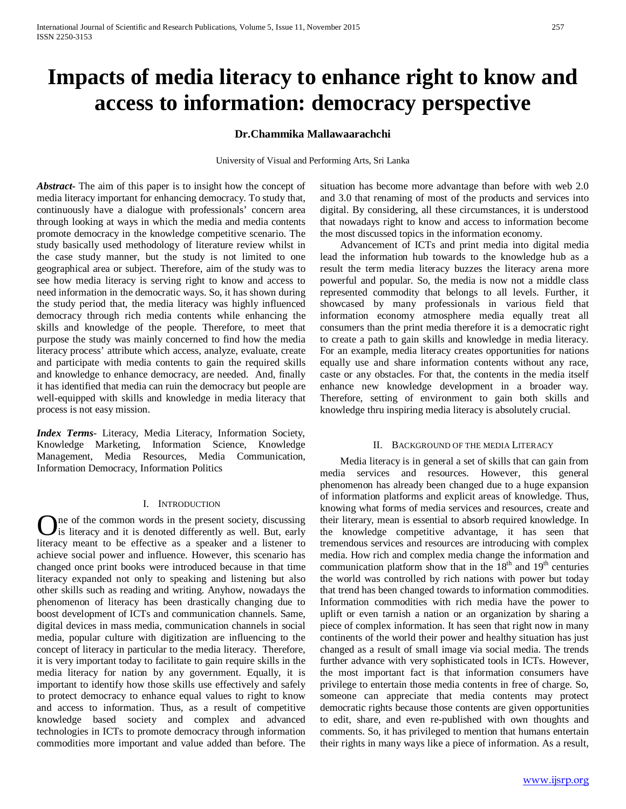# **Impacts of media literacy to enhance right to know and access to information: democracy perspective**

## **Dr.Chammika Mallawaarachchi**

University of Visual and Performing Arts, Sri Lanka

*Abstract***-** The aim of this paper is to insight how the concept of media literacy important for enhancing democracy. To study that, continuously have a dialogue with professionals' concern area through looking at ways in which the media and media contents promote democracy in the knowledge competitive scenario. The study basically used methodology of literature review whilst in the case study manner, but the study is not limited to one geographical area or subject. Therefore, aim of the study was to see how media literacy is serving right to know and access to need information in the democratic ways. So, it has shown during the study period that, the media literacy was highly influenced democracy through rich media contents while enhancing the skills and knowledge of the people. Therefore, to meet that purpose the study was mainly concerned to find how the media literacy process' attribute which access, analyze, evaluate, create and participate with media contents to gain the required skills and knowledge to enhance democracy, are needed. And, finally it has identified that media can ruin the democracy but people are well-equipped with skills and knowledge in media literacy that process is not easy mission.

*Index Terms*- Literacy, Media Literacy, Information Society, Knowledge Marketing, Information Science, Knowledge Management, Media Resources, Media Communication, Information Democracy, Information Politics

## I. INTRODUCTION

ne of the common words in the present society, discussing **O**ne of the common words in the present society, discussing<br>lis literacy and it is denoted differently as well. But, early literacy meant to be effective as a speaker and a listener to achieve social power and influence. However, this scenario has changed once print books were introduced because in that time literacy expanded not only to speaking and listening but also other skills such as reading and writing. Anyhow, nowadays the phenomenon of literacy has been drastically changing due to boost development of ICTs and communication channels. Same, digital devices in mass media, communication channels in social media, popular culture with digitization are influencing to the concept of literacy in particular to the media literacy. Therefore, it is very important today to facilitate to gain require skills in the media literacy for nation by any government. Equally, it is important to identify how those skills use effectively and safely to protect democracy to enhance equal values to right to know and access to information. Thus, as a result of competitive knowledge based society and complex and advanced technologies in ICTs to promote democracy through information commodities more important and value added than before. The

situation has become more advantage than before with web 2.0 and 3.0 that renaming of most of the products and services into digital. By considering, all these circumstances, it is understood that nowadays right to know and access to information become the most discussed topics in the information economy.

 Advancement of ICTs and print media into digital media lead the information hub towards to the knowledge hub as a result the term media literacy buzzes the literacy arena more powerful and popular. So, the media is now not a middle class represented commodity that belongs to all levels. Further, it showcased by many professionals in various field that information economy atmosphere media equally treat all consumers than the print media therefore it is a democratic right to create a path to gain skills and knowledge in media literacy. For an example, media literacy creates opportunities for nations equally use and share information contents without any race, caste or any obstacles. For that, the contents in the media itself enhance new knowledge development in a broader way. Therefore, setting of environment to gain both skills and knowledge thru inspiring media literacy is absolutely crucial.

#### II. BACKGROUND OF THE MEDIA LITERACY

 Media literacy is in general a set of skills that can gain from media services and resources. However, this general phenomenon has already been changed due to a huge expansion of information platforms and explicit areas of knowledge. Thus, knowing what forms of media services and resources, create and their literary, mean is essential to absorb required knowledge. In the knowledge competitive advantage, it has seen that tremendous services and resources are introducing with complex media. How rich and complex media change the information and communication platform show that in the  $18<sup>th</sup>$  and  $19<sup>th</sup>$  centuries the world was controlled by rich nations with power but today that trend has been changed towards to information commodities. Information commodities with rich media have the power to uplift or even tarnish a nation or an organization by sharing a piece of complex information. It has seen that right now in many continents of the world their power and healthy situation has just changed as a result of small image via social media. The trends further advance with very sophisticated tools in ICTs. However, the most important fact is that information consumers have privilege to entertain those media contents in free of charge. So, someone can appreciate that media contents may protect democratic rights because those contents are given opportunities to edit, share, and even re-published with own thoughts and comments. So, it has privileged to mention that humans entertain their rights in many ways like a piece of information. As a result,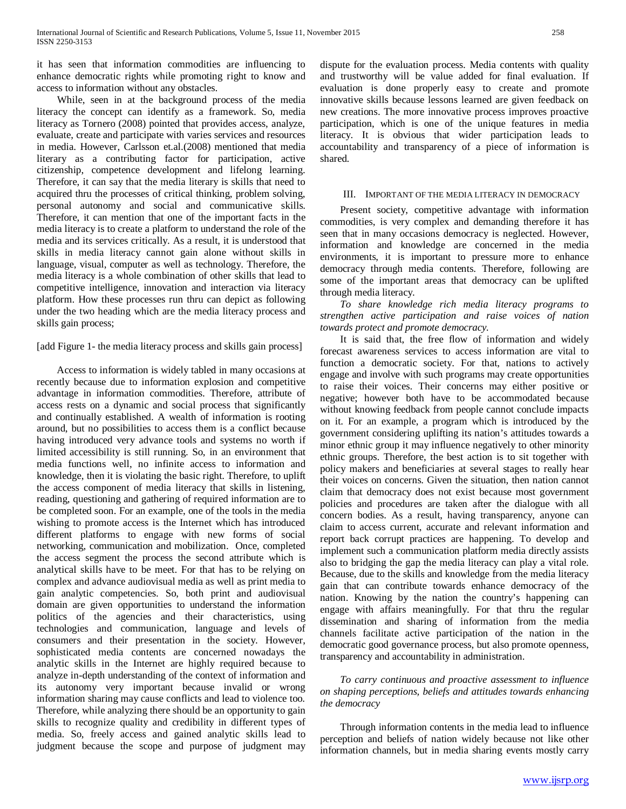it has seen that information commodities are influencing to enhance democratic rights while promoting right to know and access to information without any obstacles.

 While, seen in at the background process of the media literacy the concept can identify as a framework. So, media literacy as Tornero (2008) pointed that provides access, analyze, evaluate, create and participate with varies services and resources in media. However, Carlsson et.al.(2008) mentioned that media literary as a contributing factor for participation, active citizenship, competence development and lifelong learning. Therefore, it can say that the media literary is skills that need to acquired thru the processes of critical thinking, problem solving, personal autonomy and social and communicative skills. Therefore, it can mention that one of the important facts in the media literacy is to create a platform to understand the role of the media and its services critically. As a result, it is understood that skills in media literacy cannot gain alone without skills in language, visual, computer as well as technology. Therefore, the media literacy is a whole combination of other skills that lead to competitive intelligence, innovation and interaction via literacy platform. How these processes run thru can depict as following under the two heading which are the media literacy process and skills gain process;

[add Figure 1- the media literacy process and skills gain process]

 Access to information is widely tabled in many occasions at recently because due to information explosion and competitive advantage in information commodities. Therefore, attribute of access rests on a dynamic and social process that significantly and continually established. A wealth of information is rooting around, but no possibilities to access them is a conflict because having introduced very advance tools and systems no worth if limited accessibility is still running. So, in an environment that media functions well, no infinite access to information and knowledge, then it is violating the basic right. Therefore, to uplift the access component of media literacy that skills in listening, reading, questioning and gathering of required information are to be completed soon. For an example, one of the tools in the media wishing to promote access is the Internet which has introduced different platforms to engage with new forms of social networking, communication and mobilization. Once, completed the access segment the process the second attribute which is analytical skills have to be meet. For that has to be relying on complex and advance audiovisual media as well as print media to gain analytic competencies. So, both print and audiovisual domain are given opportunities to understand the information politics of the agencies and their characteristics, using technologies and communication, language and levels of consumers and their presentation in the society. However, sophisticated media contents are concerned nowadays the analytic skills in the Internet are highly required because to analyze in-depth understanding of the context of information and its autonomy very important because invalid or wrong information sharing may cause conflicts and lead to violence too. Therefore, while analyzing there should be an opportunity to gain skills to recognize quality and credibility in different types of media. So, freely access and gained analytic skills lead to judgment because the scope and purpose of judgment may dispute for the evaluation process. Media contents with quality and trustworthy will be value added for final evaluation. If evaluation is done properly easy to create and promote innovative skills because lessons learned are given feedback on new creations. The more innovative process improves proactive participation, which is one of the unique features in media literacy. It is obvious that wider participation leads to accountability and transparency of a piece of information is shared.

#### III. IMPORTANT OF THE MEDIA LITERACY IN DEMOCRACY

 Present society, competitive advantage with information commodities, is very complex and demanding therefore it has seen that in many occasions democracy is neglected. However, information and knowledge are concerned in the media environments, it is important to pressure more to enhance democracy through media contents. Therefore, following are some of the important areas that democracy can be uplifted through media literacy.

 *To share knowledge rich media literacy programs to strengthen active participation and raise voices of nation towards protect and promote democracy.*

 It is said that, the free flow of information and widely forecast awareness services to access information are vital to function a democratic society. For that, nations to actively engage and involve with such programs may create opportunities to raise their voices. Their concerns may either positive or negative; however both have to be accommodated because without knowing feedback from people cannot conclude impacts on it. For an example, a program which is introduced by the government considering uplifting its nation's attitudes towards a minor ethnic group it may influence negatively to other minority ethnic groups. Therefore, the best action is to sit together with policy makers and beneficiaries at several stages to really hear their voices on concerns. Given the situation, then nation cannot claim that democracy does not exist because most government policies and procedures are taken after the dialogue with all concern bodies. As a result, having transparency, anyone can claim to access current, accurate and relevant information and report back corrupt practices are happening. To develop and implement such a communication platform media directly assists also to bridging the gap the media literacy can play a vital role. Because, due to the skills and knowledge from the media literacy gain that can contribute towards enhance democracy of the nation. Knowing by the nation the country's happening can engage with affairs meaningfully. For that thru the regular dissemination and sharing of information from the media channels facilitate active participation of the nation in the democratic good governance process, but also promote openness, transparency and accountability in administration.

## *To carry continuous and proactive assessment to influence on shaping perceptions, beliefs and attitudes towards enhancing the democracy*

 Through information contents in the media lead to influence perception and beliefs of nation widely because not like other information channels, but in media sharing events mostly carry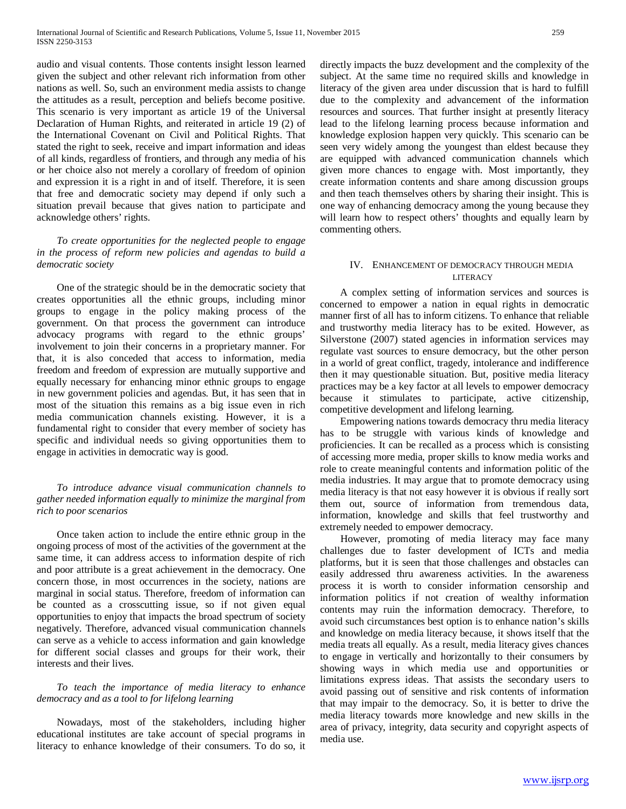audio and visual contents. Those contents insight lesson learned given the subject and other relevant rich information from other nations as well. So, such an environment media assists to change the attitudes as a result, perception and beliefs become positive. This scenario is very important as article 19 of the Universal Declaration of Human Rights, and reiterated in article 19 (2) of the International Covenant on Civil and Political Rights. That stated the right to seek, receive and impart information and ideas of all kinds, regardless of frontiers, and through any media of his or her choice also not merely a corollary of freedom of opinion and expression it is a right in and of itself. Therefore, it is seen that free and democratic society may depend if only such a situation prevail because that gives nation to participate and acknowledge others' rights.

 *To create opportunities for the neglected people to engage in the process of reform new policies and agendas to build a democratic society*

 One of the strategic should be in the democratic society that creates opportunities all the ethnic groups, including minor groups to engage in the policy making process of the government. On that process the government can introduce advocacy programs with regard to the ethnic groups' involvement to join their concerns in a proprietary manner. For that, it is also conceded that access to information, media freedom and freedom of expression are mutually supportive and equally necessary for enhancing minor ethnic groups to engage in new government policies and agendas. But, it has seen that in most of the situation this remains as a big issue even in rich media communication channels existing. However, it is a fundamental right to consider that every member of society has specific and individual needs so giving opportunities them to engage in activities in democratic way is good.

## *To introduce advance visual communication channels to gather needed information equally to minimize the marginal from rich to poor scenarios*

 Once taken action to include the entire ethnic group in the ongoing process of most of the activities of the government at the same time, it can address access to information despite of rich and poor attribute is a great achievement in the democracy. One concern those, in most occurrences in the society, nations are marginal in social status. Therefore, freedom of information can be counted as a crosscutting issue, so if not given equal opportunities to enjoy that impacts the broad spectrum of society negatively. Therefore, advanced visual communication channels can serve as a vehicle to access information and gain knowledge for different social classes and groups for their work, their interests and their lives.

## *To teach the importance of media literacy to enhance democracy and as a tool to for lifelong learning*

 Nowadays, most of the stakeholders, including higher educational institutes are take account of special programs in literacy to enhance knowledge of their consumers. To do so, it

directly impacts the buzz development and the complexity of the subject. At the same time no required skills and knowledge in literacy of the given area under discussion that is hard to fulfill due to the complexity and advancement of the information resources and sources. That further insight at presently literacy lead to the lifelong learning process because information and knowledge explosion happen very quickly. This scenario can be seen very widely among the youngest than eldest because they are equipped with advanced communication channels which given more chances to engage with. Most importantly, they create information contents and share among discussion groups and then teach themselves others by sharing their insight. This is one way of enhancing democracy among the young because they will learn how to respect others' thoughts and equally learn by commenting others.

## IV. ENHANCEMENT OF DEMOCRACY THROUGH MEDIA LITERACY

 A complex setting of information services and sources is concerned to empower a nation in equal rights in democratic manner first of all has to inform citizens. To enhance that reliable and trustworthy media literacy has to be exited. However, as Silverstone (2007) stated agencies in information services may regulate vast sources to ensure democracy, but the other person in a world of great conflict, tragedy, intolerance and indifference then it may questionable situation. But, positive media literacy practices may be a key factor at all levels to empower democracy because it stimulates to participate, active citizenship, competitive development and lifelong learning.

 Empowering nations towards democracy thru media literacy has to be struggle with various kinds of knowledge and proficiencies. It can be recalled as a process which is consisting of accessing more media, proper skills to know media works and role to create meaningful contents and information politic of the media industries. It may argue that to promote democracy using media literacy is that not easy however it is obvious if really sort them out, source of information from tremendous data, information, knowledge and skills that feel trustworthy and extremely needed to empower democracy.

 However, promoting of media literacy may face many challenges due to faster development of ICTs and media platforms, but it is seen that those challenges and obstacles can easily addressed thru awareness activities. In the awareness process it is worth to consider information censorship and information politics if not creation of wealthy information contents may ruin the information democracy. Therefore, to avoid such circumstances best option is to enhance nation's skills and knowledge on media literacy because, it shows itself that the media treats all equally. As a result, media literacy gives chances to engage in vertically and horizontally to their consumers by showing ways in which media use and opportunities or limitations express ideas. That assists the secondary users to avoid passing out of sensitive and risk contents of information that may impair to the democracy. So, it is better to drive the media literacy towards more knowledge and new skills in the area of privacy, integrity, data security and copyright aspects of media use.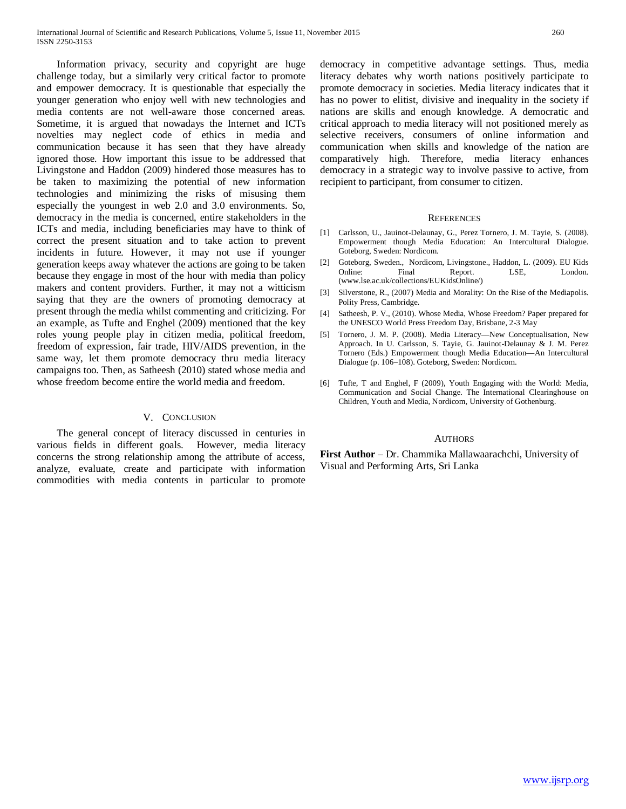Information privacy, security and copyright are huge challenge today, but a similarly very critical factor to promote and empower democracy. It is questionable that especially the younger generation who enjoy well with new technologies and media contents are not well-aware those concerned areas. Sometime, it is argued that nowadays the Internet and ICTs novelties may neglect code of ethics in media and communication because it has seen that they have already ignored those. How important this issue to be addressed that Livingstone and Haddon (2009) hindered those measures has to be taken to maximizing the potential of new information technologies and minimizing the risks of misusing them especially the youngest in web 2.0 and 3.0 environments. So, democracy in the media is concerned, entire stakeholders in the ICTs and media, including beneficiaries may have to think of correct the present situation and to take action to prevent incidents in future. However, it may not use if younger generation keeps away whatever the actions are going to be taken because they engage in most of the hour with media than policy makers and content providers. Further, it may not a witticism saying that they are the owners of promoting democracy at present through the media whilst commenting and criticizing. For an example, as Tufte and Enghel (2009) mentioned that the key roles young people play in citizen media, political freedom, freedom of expression, fair trade, HIV/AIDS prevention, in the same way, let them promote democracy thru media literacy campaigns too. Then, as Satheesh (2010) stated whose media and whose freedom become entire the world media and freedom.

#### V. CONCLUSION

 The general concept of literacy discussed in centuries in various fields in different goals. However, media literacy concerns the strong relationship among the attribute of access, analyze, evaluate, create and participate with information commodities with media contents in particular to promote democracy in competitive advantage settings. Thus, media literacy debates why worth nations positively participate to promote democracy in societies. Media literacy indicates that it has no power to elitist, divisive and inequality in the society if nations are skills and enough knowledge. A democratic and critical approach to media literacy will not positioned merely as selective receivers, consumers of online information and communication when skills and knowledge of the nation are comparatively high. Therefore, media literacy enhances democracy in a strategic way to involve passive to active, from recipient to participant, from consumer to citizen.

#### **REFERENCES**

- [1] Carlsson, U., Jauinot-Delaunay, G., Perez Tornero, J. M. Tayie, S. (2008). Empowerment though Media Education: An Intercultural Dialogue. Goteborg, Sweden: Nordicom.
- [2] Goteborg, Sweden., Nordicom, Livingstone., Haddon, L. (2009). EU Kids Online: Final Report. LSE, London. (www.lse.ac.uk/collections/EUKidsOnline/)
- [3] Silverstone, R., (2007) Media and Morality: On the Rise of the Mediapolis. Polity Press, Cambridge.
- [4] Satheesh, P. V., (2010). Whose Media, Whose Freedom? Paper prepared for the UNESCO World Press Freedom Day, Brisbane, 2-3 May
- [5] Tornero, J. M. P. (2008). Media Literacy—New Conceptualisation, New Approach. In U. Carlsson, S. Tayie, G. Jauinot-Delaunay & J. M. Perez Tornero (Eds.) Empowerment though Media Education—An Intercultural Dialogue (p. 106–108). Goteborg, Sweden: Nordicom.
- [6] Tufte, T and Enghel, F (2009), Youth Engaging with the World: Media, Communication and Social Change. The International Clearinghouse on Children, Youth and Media, Nordicom, University of Gothenburg.

#### AUTHORS

**First Author** – Dr. Chammika Mallawaarachchi, University of Visual and Performing Arts, Sri Lanka